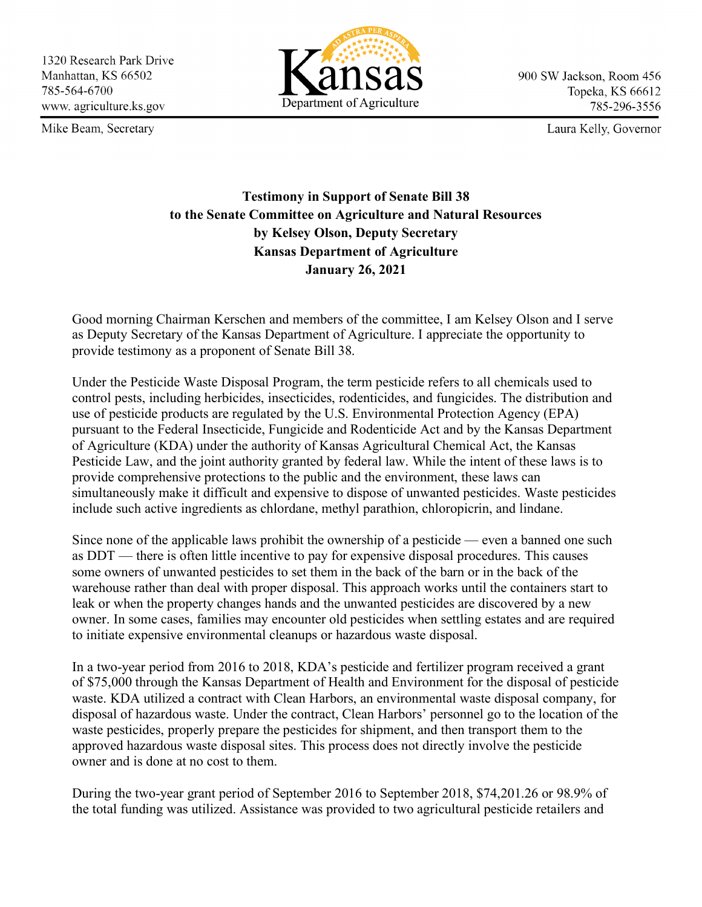1320 Research Park Drive Manhattan, KS 66502 785-564-6700 www.agriculture.ks.gov

Mike Beam, Secretary



900 SW Jackson, Room 456 Topeka, KS 66612 785-296-3556

Laura Kelly, Governor

## **Testimony in Support of Senate Bill 38 to the Senate Committee on Agriculture and Natural Resources by Kelsey Olson, Deputy Secretary Kansas Department of Agriculture January 26, 2021**

Good morning Chairman Kerschen and members of the committee, I am Kelsey Olson and I serve as Deputy Secretary of the Kansas Department of Agriculture. I appreciate the opportunity to provide testimony as a proponent of Senate Bill 38.

Under the Pesticide Waste Disposal Program, the term pesticide refers to all chemicals used to control pests, including herbicides, insecticides, rodenticides, and fungicides. The distribution and use of pesticide products are regulated by the U.S. Environmental Protection Agency (EPA) pursuant to the Federal Insecticide, Fungicide and Rodenticide Act and by the Kansas Department of Agriculture (KDA) under the authority of Kansas Agricultural Chemical Act, the Kansas Pesticide Law, and the joint authority granted by federal law. While the intent of these laws is to provide comprehensive protections to the public and the environment, these laws can simultaneously make it difficult and expensive to dispose of unwanted pesticides. Waste pesticides include such active ingredients as chlordane, methyl parathion, chloropicrin, and lindane.

Since none of the applicable laws prohibit the ownership of a pesticide — even a banned one such as DDT — there is often little incentive to pay for expensive disposal procedures. This causes some owners of unwanted pesticides to set them in the back of the barn or in the back of the warehouse rather than deal with proper disposal. This approach works until the containers start to leak or when the property changes hands and the unwanted pesticides are discovered by a new owner. In some cases, families may encounter old pesticides when settling estates and are required to initiate expensive environmental cleanups or hazardous waste disposal.

In a two-year period from 2016 to 2018, KDA's pesticide and fertilizer program received a grant of \$75,000 through the Kansas Department of Health and Environment for the disposal of pesticide waste. KDA utilized a contract with Clean Harbors, an environmental waste disposal company, for disposal of hazardous waste. Under the contract, Clean Harbors' personnel go to the location of the waste pesticides, properly prepare the pesticides for shipment, and then transport them to the approved hazardous waste disposal sites. This process does not directly involve the pesticide owner and is done at no cost to them.

During the two-year grant period of September 2016 to September 2018, \$74,201.26 or 98.9% of the total funding was utilized. Assistance was provided to two agricultural pesticide retailers and